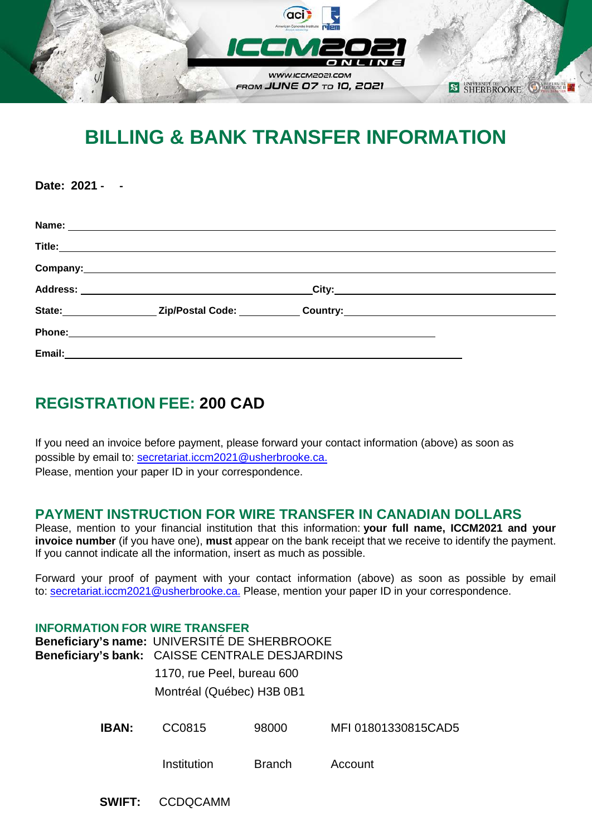

# **BILLING & BANK TRANSFER INFORMATION**

**Name: Title: Company: Address: City: State: Zip/Postal Code: Country: Phone: Email:**

## **REGISTRATION FEE: 200 CAD**

**Date: 2021 ‐ ‐**

If you need an invoice before payment, please forward your contact information (above) as soon as possible by email to: [secretariat.iccm2021@usherbrooke.ca.](mailto:secretariat.iccm2021@usherbrooke.ca) Please, mention your paper ID in your correspondence.

### **PAYMENT INSTRUCTION FOR WIRE TRANSFER IN CANADIAN DOLLARS**

Please, mention to your financial institution that this information: **your full name, ICCM2021 and your invoice number** (if you have one), **must** appear on the bank receipt that we receive to identify the payment. If you cannot indicate all the information, insert as much as possible.

Forward your proof of payment with your contact information (above) as soon as possible by email to: [secretariat.iccm2021@usherbrooke.ca.](mailto:secretariat.iccm2021@usherbrooke.ca) Please, mention your paper ID in your correspondence.

#### **INFORMATION FOR WIRE TRANSFER**

**Beneficiary's name:** UNIVERSITÉ DE SHERBROOKE **Beneficiary's bank:** CAISSE CENTRALE DESJARDINS 1170, rue Peel, bureau 600 Montréal (Québec) H3B 0B1

**IBAN:** CC0815 98000 MFI 01801330815CAD5

Institution Branch Account

 **SWIFT:** CCDQCAMM